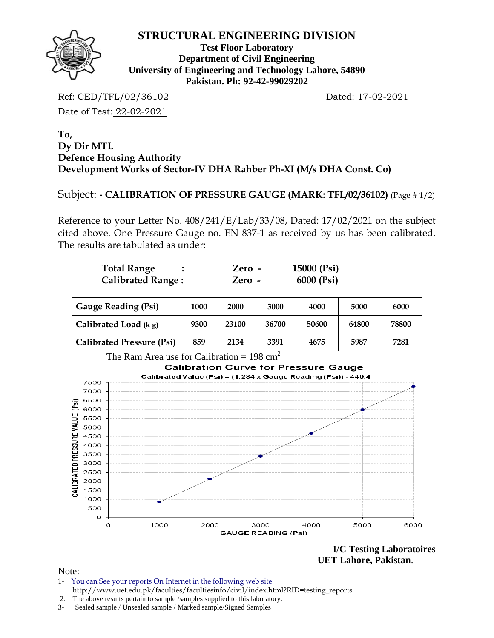

**Test Floor Laboratory Department of Civil Engineering University of Engineering and Technology Lahore, 54890 Pakistan. Ph: 92-42-99029202** 

Ref: CED/TFL/02/36102 Dated: 17-02-2021

Date of Test: 22-02-2021

## **To, Dy Dir MTL Defence Housing Authority Development Works of Sector-IV DHA Rahber Ph-XI (M/s DHA Const. Co)**

# Subject: **- CALIBRATION OF PRESSURE GAUGE (MARK: TFL/02/36102)** (Page # 1/2)

Reference to your Letter No. 408/241/E/Lab/33/08, Dated: 17/02/2021 on the subject cited above. One Pressure Gauge no. EN 837-1 as received by us has been calibrated. The results are tabulated as under:

| <b>Total Range</b>       | Zero - | 15000 (Psi) |
|--------------------------|--------|-------------|
| <b>Calibrated Range:</b> | Zero - | 6000 (Psi)  |

| <b>Gauge Reading (Psi)</b>       | 1000 | 2000  | 3000  | 4000  | 5000  | 6000  |  |
|----------------------------------|------|-------|-------|-------|-------|-------|--|
| Calibrated Load $(kg)$           | 9300 | 23100 | 36700 | 50600 | 64800 | 78800 |  |
| <b>Calibrated Pressure (Psi)</b> | 859  | 2134  | 3391  | 4675  | 5987  | 7281  |  |

The Ram Area use for Calibration = 198 cm<sup>2</sup>



**I/C Testing Laboratoires UET Lahore, Pakistan**.

Note:

- 1- You can See your reports On Internet in the following web site http://www.uet.edu.pk/faculties/facultiesinfo/civil/index.html?RID=testing\_reports
- 2. The above results pertain to sample /samples supplied to this laboratory.
- 3- Sealed sample / Unsealed sample / Marked sample/Signed Samples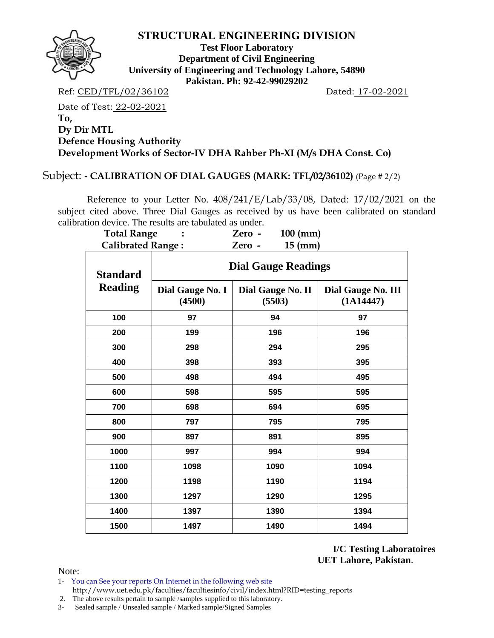

**Test Floor Laboratory Department of Civil Engineering University of Engineering and Technology Lahore, 54890 Pakistan. Ph: 92-42-99029202** 

Ref: CED/TFL/02/36102 Dated: 17-02-2021

Date of Test: 22-02-2021 **To, Dy Dir MTL Defence Housing Authority Development Works of Sector-IV DHA Rahber Ph-XI (M/s DHA Const. Co)** 

## Subject: **- CALIBRATION OF DIAL GAUGES (MARK: TFL/02/36102)** (Page # 2/2)

 Reference to your Letter No. 408/241/E/Lab/33/08, Dated: 17/02/2021 on the subject cited above. Three Dial Gauges as received by us have been calibrated on standard calibration device. The results are tabulated as under.

| <b>Total Range</b><br><b>Calibrated Range:</b> |                            | $100$ (mm)<br>Zero -<br>$15$ (mm)<br>Zero - |                                 |  |  |  |  |  |  |
|------------------------------------------------|----------------------------|---------------------------------------------|---------------------------------|--|--|--|--|--|--|
| <b>Standard</b>                                | <b>Dial Gauge Readings</b> |                                             |                                 |  |  |  |  |  |  |
| <b>Reading</b>                                 | Dial Gauge No. I<br>(4500) | Dial Gauge No. II<br>(5503)                 | Dial Gauge No. III<br>(1A14447) |  |  |  |  |  |  |
| 100                                            | 97                         | 94                                          | 97                              |  |  |  |  |  |  |
| 200                                            | 199                        | 196                                         | 196                             |  |  |  |  |  |  |
| 300                                            | 298                        | 294                                         | 295                             |  |  |  |  |  |  |
| 400                                            | 398                        | 393                                         | 395                             |  |  |  |  |  |  |
| 500                                            | 498                        | 494                                         | 495                             |  |  |  |  |  |  |
| 600                                            | 598                        | 595                                         | 595                             |  |  |  |  |  |  |
| 700                                            | 698                        | 694                                         | 695                             |  |  |  |  |  |  |
| 800                                            | 797                        | 795                                         | 795                             |  |  |  |  |  |  |
| 900                                            | 897                        | 891                                         | 895                             |  |  |  |  |  |  |
| 1000                                           | 997                        | 994                                         | 994                             |  |  |  |  |  |  |
| 1100                                           | 1098                       | 1090                                        | 1094                            |  |  |  |  |  |  |
| 1200                                           | 1198                       | 1190                                        | 1194                            |  |  |  |  |  |  |
| 1300                                           | 1297                       | 1290                                        | 1295                            |  |  |  |  |  |  |
| 1400                                           | 1397                       | 1390                                        | 1394                            |  |  |  |  |  |  |
| 1500                                           | 1497                       | 1490                                        | 1494                            |  |  |  |  |  |  |

**I/C Testing Laboratoires UET Lahore, Pakistan**.

Note:

1- You can See your reports On Internet in the following web site http://www.uet.edu.pk/faculties/facultiesinfo/civil/index.html?RID=testing\_reports

2. The above results pertain to sample /samples supplied to this laboratory.

3- Sealed sample / Unsealed sample / Marked sample/Signed Samples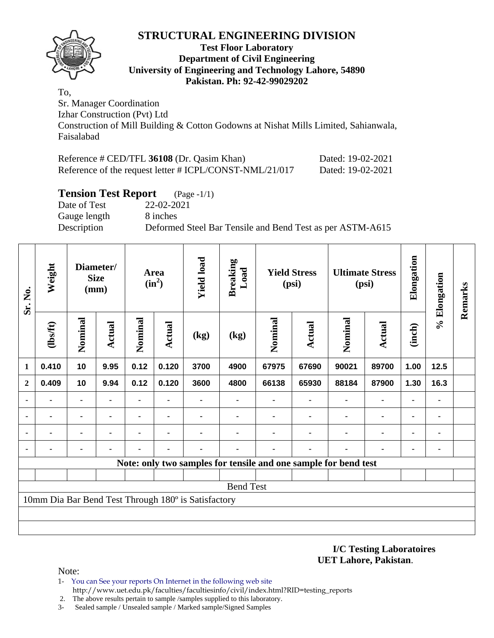

#### **Test Floor Laboratory Department of Civil Engineering University of Engineering and Technology Lahore, 54890 Pakistan. Ph: 92-42-99029202**

To, Sr. Manager Coordination Izhar Construction (Pvt) Ltd Construction of Mill Building & Cotton Godowns at Nishat Mills Limited, Sahianwala, Faisalabad

| Reference # CED/TFL 36108 (Dr. Qasim Khan)              | Dated: 19-02-2021 |
|---------------------------------------------------------|-------------------|
| Reference of the request letter # ICPL/CONST-NML/21/017 | Dated: 19-02-2021 |

## **Tension Test Report** (Page -1/1)

Date of Test 22-02-2021 Gauge length 8 inches

Description Deformed Steel Bar Tensile and Bend Test as per ASTM-A615

| Sr. No.        | Weight  |                | <b>Size</b><br>(mm) |                | Diameter/      |                                                     | Area<br>$(in^2)$                                                | <b>Yield load</b> | <b>Breaking</b><br>Load |                | <b>Yield Stress</b><br>(psi) |                | <b>Ultimate Stress</b><br>(psi) | Elongation | % Elongation | Remarks |
|----------------|---------|----------------|---------------------|----------------|----------------|-----------------------------------------------------|-----------------------------------------------------------------|-------------------|-------------------------|----------------|------------------------------|----------------|---------------------------------|------------|--------------|---------|
|                | (1bsft) | Nominal        | <b>Actual</b>       | Nominal        | <b>Actual</b>  | (kg)                                                | (kg)                                                            | Nominal           | Actual                  | Nominal        | <b>Actual</b>                | (inch)         |                                 |            |              |         |
| $\mathbf{1}$   | 0.410   | 10             | 9.95                | 0.12           | 0.120          | 3700                                                | 4900                                                            | 67975             | 67690                   | 90021          | 89700                        | 1.00           | 12.5                            |            |              |         |
| $\overline{2}$ | 0.409   | 10             | 9.94                | 0.12           | 0.120          | 3600                                                | 4800                                                            | 66138             | 65930                   | 88184          | 87900                        | 1.30           | 16.3                            |            |              |         |
| $\blacksquare$ |         | $\blacksquare$ | $\blacksquare$      | $\blacksquare$ |                |                                                     |                                                                 |                   |                         | $\blacksquare$ | $\blacksquare$               | $\blacksquare$ | ٠                               |            |              |         |
| ٠              |         | ۰              |                     |                | $\blacksquare$ |                                                     |                                                                 |                   |                         | ٠              | ۰                            | ۰              | ٠                               |            |              |         |
| ٠              |         | ۰              |                     |                |                |                                                     |                                                                 |                   |                         | ٠              | ۰                            | ۰              | ٠                               |            |              |         |
| $\blacksquare$ |         |                |                     |                |                |                                                     |                                                                 |                   |                         |                |                              | ۰              | ٠                               |            |              |         |
|                |         |                |                     |                |                |                                                     | Note: only two samples for tensile and one sample for bend test |                   |                         |                |                              |                |                                 |            |              |         |
|                |         |                |                     |                |                |                                                     |                                                                 |                   |                         |                |                              |                |                                 |            |              |         |
|                |         |                |                     |                |                |                                                     | <b>Bend Test</b>                                                |                   |                         |                |                              |                |                                 |            |              |         |
|                |         |                |                     |                |                | 10mm Dia Bar Bend Test Through 180° is Satisfactory |                                                                 |                   |                         |                |                              |                |                                 |            |              |         |
|                |         |                |                     |                |                |                                                     |                                                                 |                   |                         |                |                              |                |                                 |            |              |         |
|                |         |                |                     |                |                |                                                     |                                                                 |                   |                         |                |                              |                |                                 |            |              |         |

#### **I/C Testing Laboratoires UET Lahore, Pakistan**.

Note:

- 1- You can See your reports On Internet in the following web site http://www.uet.edu.pk/faculties/facultiesinfo/civil/index.html?RID=testing\_reports
- 2. The above results pertain to sample /samples supplied to this laboratory.
- 3- Sealed sample / Unsealed sample / Marked sample/Signed Samples